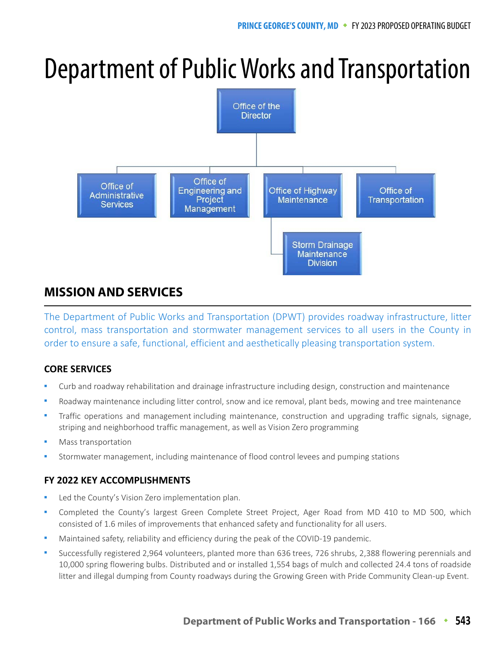# Department of Public Works and Transportation



# **MISSION AND SERVICES**

The Department of Public Works and Transportation (DPWT) provides roadway infrastructure, litter control, mass transportation and stormwater management services to all users in the County in order to ensure a safe, functional, efficient and aesthetically pleasing transportation system.

# **CORE SERVICES**

- Curb and roadway rehabilitation and drainage infrastructure including design, construction and maintenance
- Roadway maintenance including litter control, snow and ice removal, plant beds, mowing and tree maintenance
- Traffic operations and management including maintenance, construction and upgrading traffic signals, signage, striping and neighborhood traffic management, as well as Vision Zero programming
- Mass transportation
- Stormwater management, including maintenance of flood control levees and pumping stations

# **FY 2022 KEY ACCOMPLISHMENTS**

- Led the County's Vision Zero implementation plan.
- Completed the County's largest Green Complete Street Project, Ager Road from MD 410 to MD 500, which consisted of 1.6 miles of improvements that enhanced safety and functionality for all users.
- Maintained safety, reliability and efficiency during the peak of the COVID-19 pandemic.
- Successfully registered 2,964 volunteers, planted more than 636 trees, 726 shrubs, 2,388 flowering perennials and 10,000 spring flowering bulbs. Distributed and or installed 1,554 bags of mulch and collected 24.4 tons of roadside litter and illegal dumping from County roadways during the Growing Green with Pride Community Clean-up Event.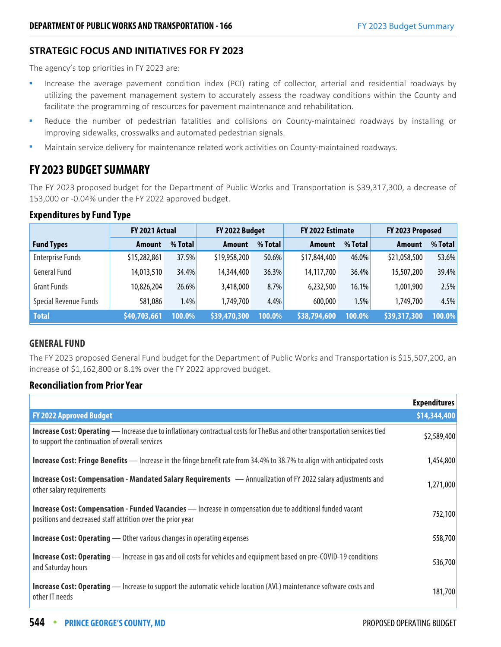## **STRATEGIC FOCUS AND INITIATIVES FOR FY 2023**

The agency's top priorities in FY 2023 are:

- Increase the average pavement condition index (PCI) rating of collector, arterial and residential roadways by utilizing the pavement management system to accurately assess the roadway conditions within the County and facilitate the programming of resources for pavement maintenance and rehabilitation.
- Reduce the number of pedestrian fatalities and collisions on County-maintained roadways by installing or improving sidewalks, crosswalks and automated pedestrian signals.
- **•** Maintain service delivery for maintenance related work activities on County-maintained roadways.

# **FY 2023 BUDGET SUMMARY**

The FY 2023 proposed budget for the Department of Public Works and Transportation is \$39,317,300, a decrease of 153,000 or -0.04% under the FY 2022 approved budget.

## **Expenditures by Fund Type**

|                         | FY 2021 Actual |          |               | FY 2022 Budget<br>FY 2022 Estimate |              | FY 2023 Proposed |               |         |
|-------------------------|----------------|----------|---------------|------------------------------------|--------------|------------------|---------------|---------|
| <b>Fund Types</b>       | <b>Amount</b>  | % Total  | <b>Amount</b> | % Total                            | Amount       | % Total          | <b>Amount</b> | % Total |
| <b>Enterprise Funds</b> | \$15,282,861   | 37.5%    | \$19,958,200  | $50.6\%$                           | \$17,844,400 | 46.0%            | \$21,058,500  | 53.6%   |
| <b>General Fund</b>     | 14,013,510     | 34.4%    | 14,344,400    | 36.3%                              | 14,117,700   | 36.4%            | 15,507,200    | 39.4%   |
| <b>Grant Funds</b>      | 10,826,204     | $26.6\%$ | 3,418,000     | 8.7%                               | 6,232,500    | 16.1%            | 1,001,900     | 2.5%    |
| Special Revenue Funds   | 581,086        | 1.4%     | 1,749,700     | 4.4%                               | 600,000      | 1.5%             | 1,749,700     | 4.5%    |
| <b>Total</b>            | \$40,703,661   | 100.0%   | \$39,470,300  | 100.0%                             | \$38,794,600 | 100.0%           | \$39,317,300  | 100.0%  |

## **GENERAL FUND**

The FY 2023 proposed General Fund budget for the Department of Public Works and Transportation is \$15,507,200, an increase of \$1,162,800 or 8.1% over the FY 2022 approved budget.

## **Reconciliation from Prior Year**

|                                                                                                                                                                                       | <b>Expenditures</b> |
|---------------------------------------------------------------------------------------------------------------------------------------------------------------------------------------|---------------------|
| <b>FY 2022 Approved Budget</b>                                                                                                                                                        | \$14,344,400        |
| <b>Increase Cost: Operating</b> — Increase due to inflationary contractual costs for TheBus and other transportation services tied<br>to support the continuation of overall services | \$2,589,400         |
| <b>Increase Cost: Fringe Benefits</b> — Increase in the fringe benefit rate from 34.4% to 38.7% to align with anticipated costs                                                       | 1,454,800           |
| Increase Cost: Compensation - Mandated Salary Requirements - Annualization of FY 2022 salary adjustments and<br>other salary requirements                                             | 1,271,000           |
| <b>Increase Cost: Compensation - Funded Vacancies</b> - Increase in compensation due to additional funded vacant<br>positions and decreased staff attrition over the prior year       | 752,100             |
| <b>Increase Cost: Operating</b> — Other various changes in operating expenses                                                                                                         | 558,700             |
| <b>Increase Cost: Operating</b> — Increase in gas and oil costs for vehicles and equipment based on pre-COVID-19 conditions<br>and Saturday hours                                     | 536,700             |
| <b>Increase Cost: Operating</b> — Increase to support the automatic vehicle location (AVL) maintenance software costs and<br>other IT needs                                           | 181,700             |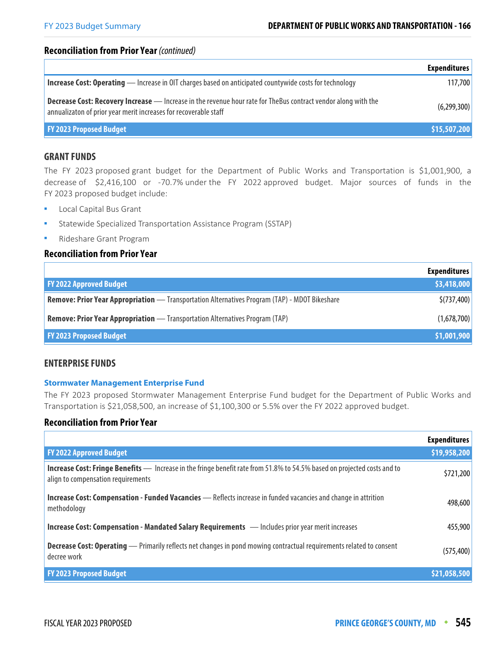#### **Reconciliation from Prior Year** (continued)

|                                                                                                                                                                                            | <b>Expenditures</b> |
|--------------------------------------------------------------------------------------------------------------------------------------------------------------------------------------------|---------------------|
| <b>Increase Cost: Operating</b> — Increase in OIT charges based on anticipated countywide costs for technology                                                                             | 117,700             |
| <b>Decrease Cost: Recovery Increase</b> - Increase in the revenue hour rate for The Bus contract vendor along with the<br>annualizaton of prior year merit increases for recoverable staff | (6,299,300)         |
| <b>FY 2023 Proposed Budget</b>                                                                                                                                                             | \$15,507,200        |

#### **GRANT FUNDS**

The FY 2023 proposed grant budget for the Department of Public Works and Transportation is \$1,001,900, a decrease of \$2,416,100 or -70.7% under the FY 2022 approved budget. Major sources of funds in the FY 2023 proposed budget include:

- **Local Capital Bus Grant**
- Statewide Specialized Transportation Assistance Program (SSTAP)
- Rideshare Grant Program

# **Reconciliation from Prior Year**

|                                                                                               | <b>Expenditures</b> |
|-----------------------------------------------------------------------------------------------|---------------------|
| <b>FY 2022 Approved Budget</b>                                                                | \$3,418,000         |
| Remove: Prior Year Appropriation — Transportation Alternatives Program (TAP) - MDOT Bikeshare | \$(737,400)         |
| <b>Remove: Prior Year Appropriation</b> — Transportation Alternatives Program (TAP)           | (1,678,700)         |
| <b>FY 2023 Proposed Budget</b>                                                                | \$1,001,900         |

#### **ENTERPRISE FUNDS**

#### **Stormwater Management Enterprise Fund**

The FY 2023 proposed Stormwater Management Enterprise Fund budget for the Department of Public Works and Transportation is \$21,058,500, an increase of \$1,100,300 or 5.5% over the FY 2022 approved budget.

#### **Reconciliation from Prior Year**

|                                                                                                                                                                       | <b>Expenditures</b> |
|-----------------------------------------------------------------------------------------------------------------------------------------------------------------------|---------------------|
| <b>FY 2022 Approved Budget</b>                                                                                                                                        | \$19,958,200        |
| <b>Increase Cost: Fringe Benefits</b> — Increase in the fringe benefit rate from 51.8% to 54.5% based on projected costs and to<br>align to compensation requirements | \$721,200           |
| <b>Increase Cost: Compensation - Funded Vacancies</b> - Reflects increase in funded vacancies and change in attrition<br>methodology                                  | 498,600             |
| <b>Increase Cost: Compensation - Mandated Salary Requirements</b> - Includes prior year merit increases                                                               | 455,900             |
| <b>Decrease Cost: Operating</b> — Primarily reflects net changes in pond mowing contractual requirements related to consent<br>decree work                            | (575, 400)          |
| <b>FY 2023 Proposed Budget</b>                                                                                                                                        | \$21,058,500        |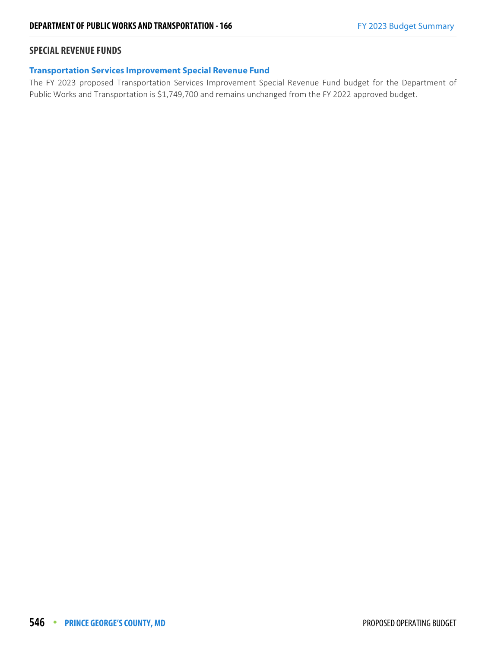## **SPECIAL REVENUE FUNDS**

#### **Transportation Services Improvement Special Revenue Fund**

The FY 2023 proposed Transportation Services Improvement Special Revenue Fund budget for the Department of Public Works and Transportation is \$1,749,700 and remains unchanged from the FY 2022 approved budget.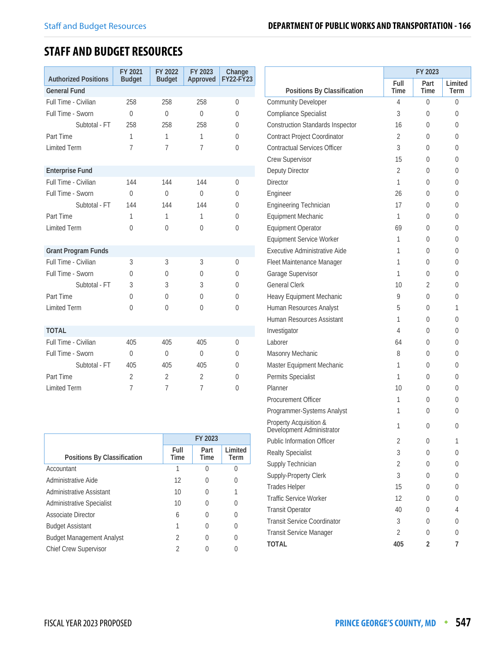# **STAFF AND BUDGET RESOURCES**

| <b>Authorized Positions</b> | FY 2021<br><b>Budget</b> | FY 2022<br><b>Budget</b> | FY 2023<br>Approved | Change<br><b>FY22-FY23</b> |
|-----------------------------|--------------------------|--------------------------|---------------------|----------------------------|
| <b>General Fund</b>         |                          |                          |                     |                            |
| Full Time - Civilian        | 258                      | 258                      | 258                 | 0                          |
| Full Time - Sworn           | $\Omega$                 | $\overline{0}$           | $\theta$            | 0                          |
| Subtotal - FT               | 258                      | 258                      | 258                 | 0                          |
| Part Time                   | 1                        | 1                        | $\mathbf{1}$        | $\theta$                   |
| <b>Limited Term</b>         | $\overline{7}$           | $\overline{7}$           | $\overline{7}$      | $\theta$                   |
| <b>Enterprise Fund</b>      |                          |                          |                     |                            |
| Full Time - Civilian        | 144                      | 144                      | 144                 | 0                          |
| Full Time - Sworn           | $\theta$                 | $\Omega$                 | $\theta$            | $\theta$                   |
| Subtotal - FT               | 144                      | 144                      | 144                 | 0                          |
| Part Time                   | 1                        | 1                        | 1                   | $\Omega$                   |
| <b>Limited Term</b>         | 0                        | $\Omega$                 | 0                   | $\theta$                   |
| <b>Grant Program Funds</b>  |                          |                          |                     |                            |
| Full Time - Civilian        | 3                        | 3                        | 3                   | 0                          |
| Full Time - Sworn           | $\Omega$                 | $\Omega$                 | $\Omega$            | $\theta$                   |
| Subtotal - FT               | 3                        | 3                        | 3                   | $\Omega$                   |
| Part Time                   | $\theta$                 | $\Omega$                 | 0                   | $\Omega$                   |
| <b>Limited Term</b>         | 0                        | $\Omega$                 | 0                   | $\theta$                   |
| <b>TOTAL</b>                |                          |                          |                     |                            |
| Full Time - Civilian        | 405                      | 405                      | 405                 | 0                          |
| Full Time - Sworn           | $\Omega$                 | $\Omega$                 | $\theta$            | $\Omega$                   |
| Subtotal - FT               | 405                      | 405                      | 405                 | $\Omega$                   |
| Part Time                   | $\overline{2}$           | $\overline{2}$           | $\overline{2}$      | 0                          |
| <b>Limited Term</b>         | $\overline{7}$           | $\overline{7}$           | $\overline{7}$      | 0                          |

|                                  | FY 2023             |                     |                 |  |  |
|----------------------------------|---------------------|---------------------|-----------------|--|--|
| Positions By Classification      | Full<br><b>Time</b> | Part<br><b>Time</b> | Limited<br>Term |  |  |
| Accountant                       |                     | U                   |                 |  |  |
| Administrative Aide              | 12                  | 0                   |                 |  |  |
| Administrative Assistant         | 10                  | 0                   |                 |  |  |
| <b>Administrative Specialist</b> | 10                  | 0                   |                 |  |  |
| <b>Associate Director</b>        | 6                   | 0                   |                 |  |  |
| <b>Budget Assistant</b>          |                     | O                   |                 |  |  |
| <b>Budget Management Analyst</b> | 2                   | 0                   |                 |  |  |
| <b>Chief Crew Supervisor</b>     | 2                   |                     |                 |  |  |

|                                                                            | FY 2023        |              |                 |  |
|----------------------------------------------------------------------------|----------------|--------------|-----------------|--|
| Positions By Classification                                                | Full<br>Time   | Part<br>Time | Limited<br>Term |  |
| <b>Community Developer</b>                                                 | 4              | $\theta$     | 0               |  |
| Compliance Specialist                                                      | 3              | $\theta$     | 0               |  |
| <b>Construction Standards Inspector</b>                                    | 16             | 0            | 0               |  |
|                                                                            | 2              | $\Omega$     | 0               |  |
| <b>Contract Project Coordinator</b><br><b>Contractual Services Officer</b> | 3              |              |                 |  |
|                                                                            |                | 0            | 0               |  |
| Crew Supervisor                                                            | 15             | $\Omega$     | 0               |  |
| Deputy Director                                                            | $\overline{2}$ | $\Omega$     | 0               |  |
| <b>Director</b>                                                            | 1              | 0            | 0               |  |
| Engineer                                                                   | 26             | 0            | 0               |  |
| Engineering Technician                                                     | 17             | $\Omega$     | 0               |  |
| Equipment Mechanic                                                         | 1              | 0            | 0               |  |
| <b>Equipment Operator</b>                                                  | 69             | $\Omega$     | 0               |  |
| Equipment Service Worker                                                   | 1              | $\Omega$     | 0               |  |
| Executive Administrative Aide                                              | 1              | 0            | 0               |  |
| Fleet Maintenance Manager                                                  | 1              | 0            | 0               |  |
| Garage Supervisor                                                          | 1              | $\Omega$     | 0               |  |
| <b>General Clerk</b>                                                       | 10             | 2            | 0               |  |
| Heavy Equipment Mechanic                                                   | 9              | 0            | 0               |  |
| Human Resources Analyst                                                    | 5              | $\Omega$     | 1               |  |
| Human Resources Assistant                                                  | 1              | 0            | 0               |  |
| Investigator                                                               | 4              | $\Omega$     | 0               |  |
| Laborer                                                                    | 64             | $\Omega$     | 0               |  |
| Masonry Mechanic                                                           | 8              | 0            | 0               |  |
| Master Equipment Mechanic                                                  | 1              | $\Omega$     | 0               |  |
| Permits Specialist                                                         | 1              | $\Omega$     | 0               |  |
| Planner                                                                    | 10             | 0            | 0               |  |
| <b>Procurement Officer</b>                                                 | 1              | 0            | 0               |  |
| Programmer-Systems Analyst                                                 | 1              | 0            | 0               |  |
| Property Acquisition &<br>Development Administrator                        | 1              | 0            | 0               |  |
| <b>Public Information Officer</b>                                          | 2              | 0            | 1               |  |
| <b>Realty Specialist</b>                                                   | 3              | 0            | 0               |  |
| Supply Technician                                                          | $\overline{2}$ | 0            | 0               |  |
| Supply-Property Clerk                                                      | 3              | 0            | 0               |  |
| <b>Trades Helper</b>                                                       | 15             | 0            | 0               |  |
| <b>Traffic Service Worker</b>                                              | 12             | 0            | 0               |  |
| <b>Transit Operator</b>                                                    | 40             | 0            | 4               |  |
| <b>Transit Service Coordinator</b>                                         | 3              | 0            | 0               |  |
| Transit Service Manager                                                    | $\overline{2}$ | 0            | 0               |  |
| TOTAL                                                                      | 405            | 2            | 7               |  |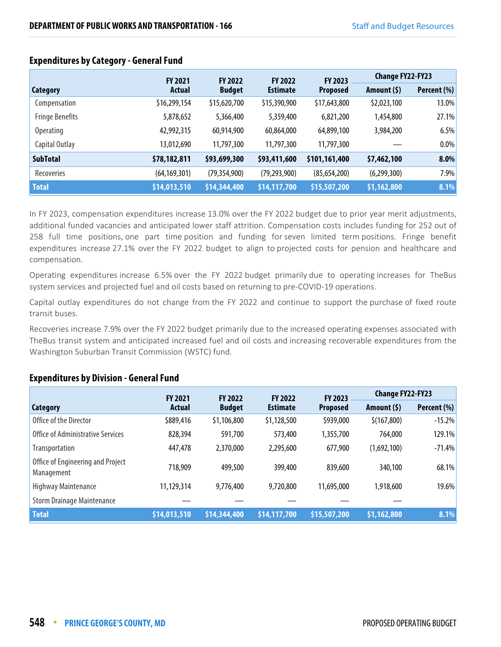|                        | <b>FY 2021</b> | <b>FY 2022</b> | <b>FY 2022</b>  | <b>FY 2023</b>  | <b>Change FY22-FY23</b> |             |
|------------------------|----------------|----------------|-----------------|-----------------|-------------------------|-------------|
| Category               | Actual         | <b>Budget</b>  | <b>Estimate</b> | <b>Proposed</b> | Amount (\$)             | Percent (%) |
| Compensation           | \$16,299,154   | \$15,620,700   | \$15,390,900    | \$17,643,800    | \$2,023,100             | 13.0%       |
| <b>Fringe Benefits</b> | 5,878,652      | 5,366,400      | 5,359,400       | 6,821,200       | 1,454,800               | 27.1%       |
| Operating              | 42,992,315     | 60,914,900     | 60,864,000      | 64,899,100      | 3,984,200               | 6.5%        |
| Capital Outlay         | 13,012,690     | 11,797,300     | 11,797,300      | 11,797,300      |                         | 0.0%        |
| <b>SubTotal</b>        | \$78,182,811   | \$93,699,300   | \$93,411,600    | \$101,161,400   | \$7,462,100             | 8.0%        |
| Recoveries             | (64, 169, 301) | (79, 354, 900) | (79, 293, 900)  | (85, 654, 200)  | (6,299,300)             | 7.9%        |
| <b>Total</b>           | \$14,013,510   | \$14,344,400   | \$14,117,700    | \$15,507,200    | \$1,162,800             | 8.1%        |

## **Expenditures by Category - General Fund**

In FY 2023, compensation expenditures increase 13.0% over the FY 2022 budget due to prior year merit adjustments, additional funded vacancies and anticipated lower staff attrition. Compensation costs includes funding for 252 out of 258 full time positions, one part time position and funding for seven limited term positions. Fringe benefit expenditures increase 27.1% over the FY 2022 budget to align to projected costs for pension and healthcare and compensation.

Operating expenditures increase 6.5% over the FY 2022 budget primarily due to operating increases for TheBus system services and projected fuel and oil costs based on returning to pre-COVID-19 operations.

Capital outlay expenditures do not change from the FY 2022 and continue to support the purchase of fixed route transit buses.

Recoveries increase 7.9% over the FY 2022 budget primarily due to the increased operating expenses associated with TheBus transit system and anticipated increased fuel and oil costs and increasing recoverable expenditures from the Washington Suburban Transit Commission (WSTC) fund.

## **Expenditures by Division - General Fund**

|                                                 | <b>FY 2021</b> | <b>FY 2022</b> | <b>FY 2022</b>  | FY 2023         | <b>Change FY22-FY23</b> |             |
|-------------------------------------------------|----------------|----------------|-----------------|-----------------|-------------------------|-------------|
| Category                                        | <b>Actual</b>  | <b>Budget</b>  | <b>Estimate</b> | <b>Proposed</b> | Amount $(5)$            | Percent (%) |
| Office of the Director                          | \$889,416      | \$1,106,800    | \$1,128,500     | \$939,000       | \$(167,800)             | $-15.2%$    |
| <b>Office of Administrative Services</b>        | 828,394        | 591,700        | 573,400         | 1,355,700       | 764,000                 | 129.1%      |
| Transportation                                  | 447,478        | 2,370,000      | 2,295,600       | 677,900         | (1,692,100)             | $-71.4%$    |
| Office of Engineering and Project<br>Management | 718,909        | 499,500        | 399,400         | 839,600         | 340,100                 | 68.1%       |
| Highway Maintenance                             | 11,129,314     | 9,776,400      | 9,720,800       | 11,695,000      | 1,918,600               | 19.6%       |
| <b>Storm Drainage Maintenance</b>               |                |                |                 |                 |                         |             |
| <b>Total</b>                                    | \$14,013,510   | \$14,344,400   | \$14,117,700    | \$15,507,200    | \$1,162,800             | 8.1%        |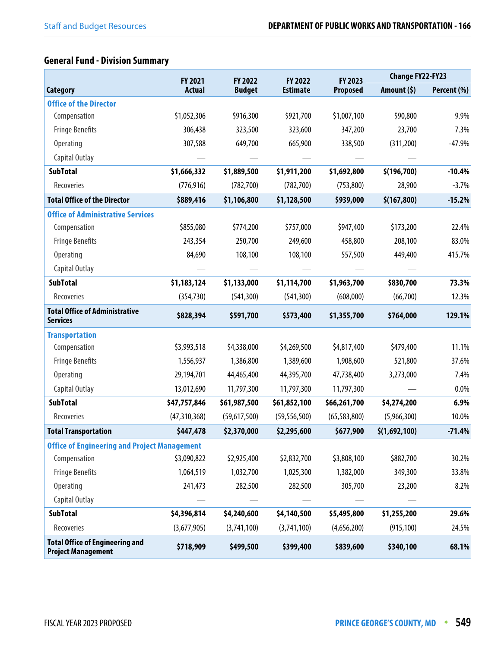# **General Fund - Division Summary**

|                                                                     | FY 2021        | FY 2022       | FY 2022         | FY 2023         | <b>Change FY22-FY23</b> |             |
|---------------------------------------------------------------------|----------------|---------------|-----------------|-----------------|-------------------------|-------------|
| <b>Category</b>                                                     | <b>Actual</b>  | <b>Budget</b> | <b>Estimate</b> | <b>Proposed</b> | Amount (\$)             | Percent (%) |
| <b>Office of the Director</b>                                       |                |               |                 |                 |                         |             |
| Compensation                                                        | \$1,052,306    | \$916,300     | \$921,700       | \$1,007,100     | \$90,800                | 9.9%        |
| <b>Fringe Benefits</b>                                              | 306,438        | 323,500       | 323,600         | 347,200         | 23,700                  | 7.3%        |
| <b>Operating</b>                                                    | 307,588        | 649,700       | 665,900         | 338,500         | (311,200)               | $-47.9%$    |
| Capital Outlay                                                      |                |               |                 |                 |                         |             |
| <b>SubTotal</b>                                                     | \$1,666,332    | \$1,889,500   | \$1,911,200     | \$1,692,800     | \$(196, 700)            | $-10.4%$    |
| Recoveries                                                          | (776, 916)     | (782, 700)    | (782, 700)      | (753, 800)      | 28,900                  | $-3.7%$     |
| <b>Total Office of the Director</b>                                 | \$889,416      | \$1,106,800   | \$1,128,500     | \$939,000       | \$(167, 800)            | $-15.2%$    |
| <b>Office of Administrative Services</b>                            |                |               |                 |                 |                         |             |
| Compensation                                                        | \$855,080      | \$774,200     | \$757,000       | \$947,400       | \$173,200               | 22.4%       |
| <b>Fringe Benefits</b>                                              | 243,354        | 250,700       | 249,600         | 458,800         | 208,100                 | 83.0%       |
| <b>Operating</b>                                                    | 84,690         | 108,100       | 108,100         | 557,500         | 449,400                 | 415.7%      |
| Capital Outlay                                                      |                |               |                 |                 |                         |             |
| <b>SubTotal</b>                                                     | \$1,183,124    | \$1,133,000   | \$1,114,700     | \$1,963,700     | \$830,700               | 73.3%       |
| Recoveries                                                          | (354, 730)     | (541, 300)    | (541, 300)      | (608,000)       | (66,700)                | 12.3%       |
| <b>Total Office of Administrative</b><br><b>Services</b>            | \$828,394      | \$591,700     | \$573,400       | \$1,355,700     | \$764,000               | 129.1%      |
| <b>Transportation</b>                                               |                |               |                 |                 |                         |             |
| Compensation                                                        | \$3,993,518    | \$4,338,000   | \$4,269,500     | \$4,817,400     | \$479,400               | 11.1%       |
| <b>Fringe Benefits</b>                                              | 1,556,937      | 1,386,800     | 1,389,600       | 1,908,600       | 521,800                 | 37.6%       |
| <b>Operating</b>                                                    | 29,194,701     | 44,465,400    | 44,395,700      | 47,738,400      | 3,273,000               | 7.4%        |
| Capital Outlay                                                      | 13,012,690     | 11,797,300    | 11,797,300      | 11,797,300      |                         | $0.0\%$     |
| <b>SubTotal</b>                                                     | \$47,757,846   | \$61,987,500  | \$61,852,100    | \$66,261,700    | \$4,274,200             | 6.9%        |
| Recoveries                                                          | (47, 310, 368) | (59,617,500)  | (59, 556, 500)  | (65, 583, 800)  | (5,966,300)             | 10.0%       |
| <b>Total Transportation</b>                                         | \$447,478      | \$2,370,000   | \$2,295,600     | \$677,900       | \$(1,692,100)           | $-71.4%$    |
| <b>Office of Engineering and Project Management</b>                 |                |               |                 |                 |                         |             |
| Compensation                                                        | \$3,090,822    | \$2,925,400   | \$2,832,700     | \$3,808,100     | \$882,700               | 30.2%       |
| <b>Fringe Benefits</b>                                              | 1,064,519      | 1,032,700     | 1,025,300       | 1,382,000       | 349,300                 | 33.8%       |
| <b>Operating</b>                                                    | 241,473        | 282,500       | 282,500         | 305,700         | 23,200                  | 8.2%        |
| Capital Outlay                                                      |                |               |                 |                 |                         |             |
| <b>SubTotal</b>                                                     | \$4,396,814    | \$4,240,600   | \$4,140,500     | \$5,495,800     | \$1,255,200             | 29.6%       |
| Recoveries                                                          | (3,677,905)    | (3,741,100)   | (3,741,100)     | (4,656,200)     | (915, 100)              | 24.5%       |
| <b>Total Office of Engineering and</b><br><b>Project Management</b> | \$718,909      | \$499,500     | \$399,400       | \$839,600       | \$340,100               | 68.1%       |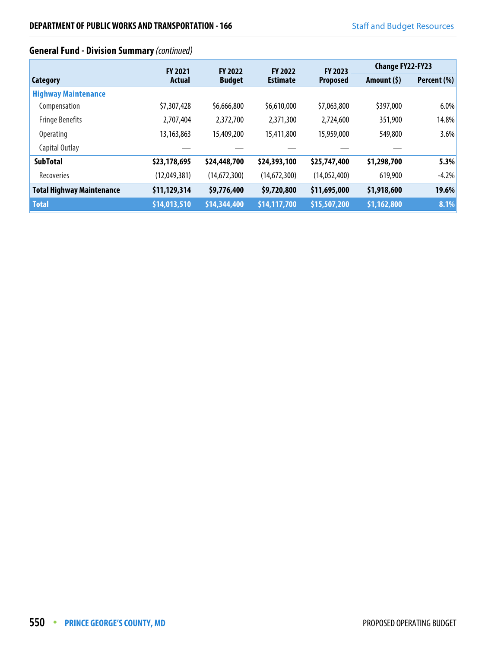# **General Fund - Division Summary** (continued)

|                                  | <b>FY 2021</b> | <b>FY 2022</b> | <b>FY 2022</b>  | <b>FY 2023</b>  | <b>Change FY22-FY23</b> |             |
|----------------------------------|----------------|----------------|-----------------|-----------------|-------------------------|-------------|
| Category                         | <b>Actual</b>  | <b>Budget</b>  | <b>Estimate</b> | <b>Proposed</b> | Amount $(5)$            | Percent (%) |
| <b>Highway Maintenance</b>       |                |                |                 |                 |                         |             |
| Compensation                     | \$7,307,428    | \$6,666,800    | \$6,610,000     | \$7,063,800     | \$397,000               | 6.0%        |
| <b>Fringe Benefits</b>           | 2,707,404      | 2,372,700      | 2,371,300       | 2,724,600       | 351,900                 | 14.8%       |
| <b>Operating</b>                 | 13,163,863     | 15,409,200     | 15,411,800      | 15,959,000      | 549,800                 | 3.6%        |
| Capital Outlay                   |                |                |                 |                 |                         |             |
| <b>SubTotal</b>                  | \$23,178,695   | \$24,448,700   | \$24,393,100    | \$25,747,400    | \$1,298,700             | 5.3%        |
| Recoveries                       | (12,049,381)   | (14,672,300)   | (14,672,300)    | (14,052,400)    | 619,900                 | $-4.2%$     |
| <b>Total Highway Maintenance</b> | \$11,129,314   | \$9,776,400    | \$9,720,800     | \$11,695,000    | \$1,918,600             | 19.6%       |
| <b>Total</b>                     | \$14,013,510   | \$14,344,400   | \$14,117,700    | \$15,507,200    | \$1,162,800             | 8.1%        |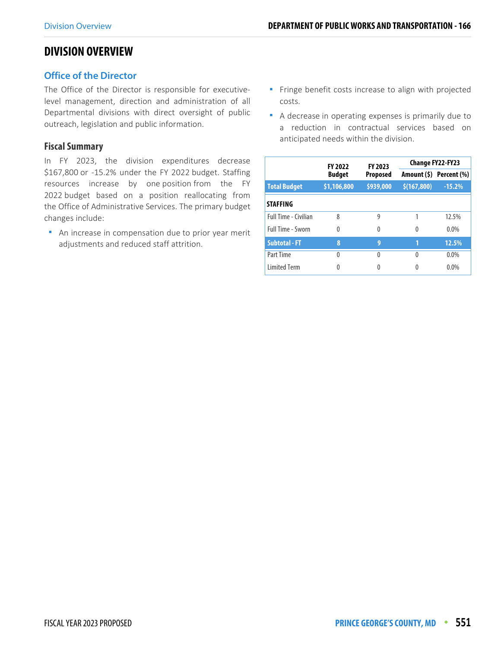# **DIVISION OVERVIEW**

## **Office of the Director**

The Office of the Director is responsible for executivelevel management, direction and administration of all Departmental divisions with direct oversight of public outreach, legislation and public information.

#### **Fiscal Summary**

In FY 2023, the division expenditures decrease \$167,800 or -15.2% under the FY 2022 budget. Staffing resources increase by one position from the FY 2022 budget based on a position reallocating from the Office of Administrative Services. The primary budget changes include:

 An increase in compensation due to prior year merit adjustments and reduced staff attrition.

- **Finge benefit costs increase to align with projected** costs.
- A decrease in operating expenses is primarily due to a reduction in contractual services based on anticipated needs within the division.

|                             | <b>FY 2022</b> | FY 2023         | Change FY22-FY23 |                         |  |
|-----------------------------|----------------|-----------------|------------------|-------------------------|--|
|                             | <b>Budget</b>  | <b>Proposed</b> |                  | Amount (\$) Percent (%) |  |
| <b>Total Budget</b>         | \$1,106,800    | \$939,000       | \$(167,800)      | $-15.2%$                |  |
| <b>STAFFING</b>             |                |                 |                  |                         |  |
| <b>Full Time - Civilian</b> | 8              | 9               |                  | 12.5%                   |  |
| Full Time - Sworn           | $\Omega$       | 0               | 0                | $0.0\%$                 |  |
| <b>Subtotal - FT</b>        | 8              | 9               | 1                | 12.5%                   |  |
| Part Time                   | $\Omega$       | 0               | $\Omega$         | $0.0\%$                 |  |
| <b>Limited Term</b>         | 0              |                 | 0                | $0.0\%$                 |  |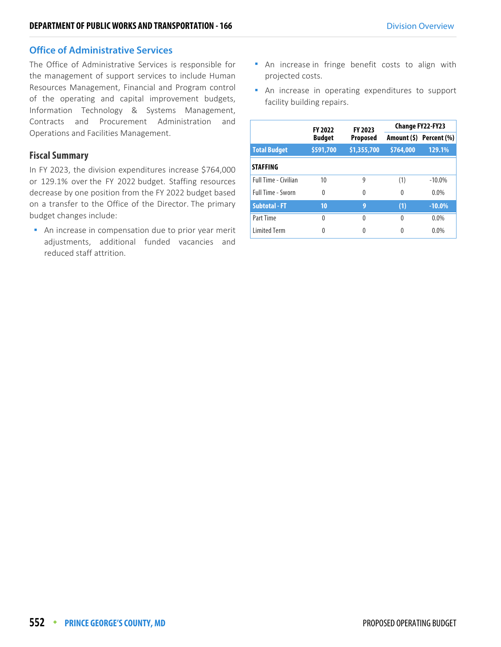## **Office of Administrative Services**

The Office of Administrative Services is responsible for the management of support services to include Human Resources Management, Financial and Program control of the operating and capital improvement budgets, Information Technology & Systems Management, Contracts and Procurement Administration and Operations and Facilities Management.

## **Fiscal Summary**

In FY 2023, the division expenditures increase \$764,000 or 129.1% over the FY 2022 budget. Staffing resources decrease by one position from the FY 2022 budget based on a transfer to the Office of the Director. The primary budget changes include:

**An increase in compensation due to prior year merit** adjustments, additional funded vacancies and reduced staff attrition.

- An increase in fringe benefit costs to align with projected costs.
- An increase in operating expenditures to support facility building repairs.

|                      | <b>FY 2022</b> | FY 2023         |           | <b>Change FY22-FY23</b> |  |
|----------------------|----------------|-----------------|-----------|-------------------------|--|
|                      | <b>Budget</b>  | <b>Proposed</b> |           | Amount (\$) Percent (%) |  |
| <b>Total Budget</b>  | \$591,700      | \$1,355,700     | \$764,000 | 129.1%                  |  |
| <b>STAFFING</b>      |                |                 |           |                         |  |
| Full Time - Civilian | 10             | 9               | (1)       | $-10.0\%$               |  |
| Full Time - Sworn    | $\Omega$       | 0               | $\Omega$  | $0.0\%$                 |  |
| <b>Subtotal - FT</b> | 10             | 9               | (1)       | $-10.0%$                |  |
| Part Time            | $\Omega$       | 0               | $\Omega$  | 0.0%                    |  |
| <b>Limited Term</b>  | 0              | 0               | 0         | 0.0%                    |  |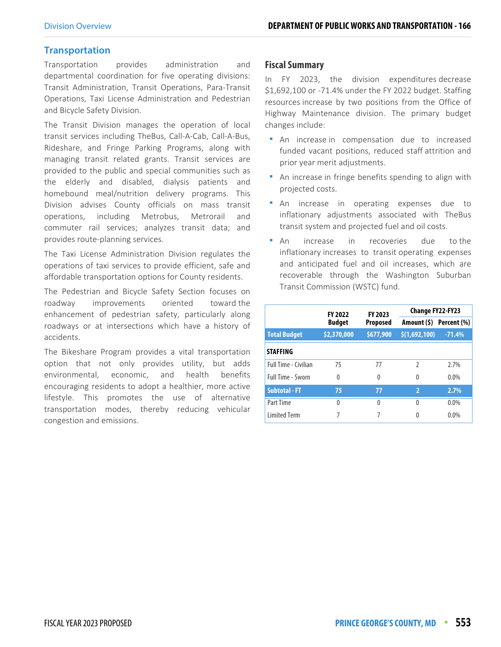## **Transportation**

Transportation provides administration and departmental coordination for five operating divisions: Transit Administration, Transit Operations, Para-Transit Operations, Taxi License Administration and Pedestrian and Bicycle Safety Division.

The Transit Division manages the operation of local transit services including TheBus, Call-A-Cab, Call-A-Bus, Rideshare, and Fringe Parking Programs, along with managing transit related grants. Transit services are provided to the public and special communities such as the elderly and disabled, dialysis patients and homebound meal/nutrition delivery programs. This Division advises County officials on mass transit operations, including Metrobus, Metrorail and commuter rail services; analyzes transit data; and provides route-planning services.

The Taxi License Administration Division regulates the operations of taxi services to provide efficient, safe and affordable transportation options for County residents.

The Pedestrian and Bicycle Safety Section focuses on roadway improvements oriented toward the enhancement of pedestrian safety, particularly along roadways or at intersections which have a history of accidents.

The Bikeshare Program provides a vital transportation option that not only provides utility, but adds environmental, economic, and health benefits encouraging residents to adopt a healthier, more active lifestyle. This promotes the use of alternative transportation modes, thereby reducing vehicular congestion and emissions.

#### **Fiscal Summary**

In FY 2023, the division expenditures decrease \$1,692,100 or -71.4% under the FY 2022 budget. Staffing resources increase by two positions from the Office of Highway Maintenance division. The primary budget changes include:

- An increase in compensation due to increased funded vacant positions, reduced staff attrition and prior year merit adjustments.
- An increase in fringe benefits spending to align with projected costs.
- An increase in operating expenses due to inflationary adjustments associated with TheBus transit system and projected fuel and oil costs.
- An increase in recoveries due to the inflationary increases to transit operating expenses and anticipated fuel and oil increases, which are recoverable through the Washington Suburban Transit Commission (WSTC) fund.

|                             | <b>FY 2022</b> | <b>FY 2023</b>  | Change FY22-FY23 |                         |  |  |
|-----------------------------|----------------|-----------------|------------------|-------------------------|--|--|
|                             | <b>Budget</b>  | <b>Proposed</b> |                  | Amount (\$) Percent (%) |  |  |
| <b>Total Budget</b>         | \$2,370,000    | \$677,900       | \$(1,692,100)    | $-71.4%$                |  |  |
| <b>STAFFING</b>             |                |                 |                  |                         |  |  |
| <b>Full Time - Civilian</b> | 75             | 77              | $\mathfrak z$    | 2.7%                    |  |  |
| <b>Full Time - Sworn</b>    | $\Omega$       | 0               | $\Omega$         | $0.0\%$                 |  |  |
| <b>Subtotal - FT</b>        | 75             | 77              | $\overline{2}$   | 2.7%                    |  |  |
| Part Time                   | $\Omega$       | 0               | $\Omega$         | $0.0\%$                 |  |  |
| <b>Limited Term</b>         |                |                 | 0                | $0.0\%$                 |  |  |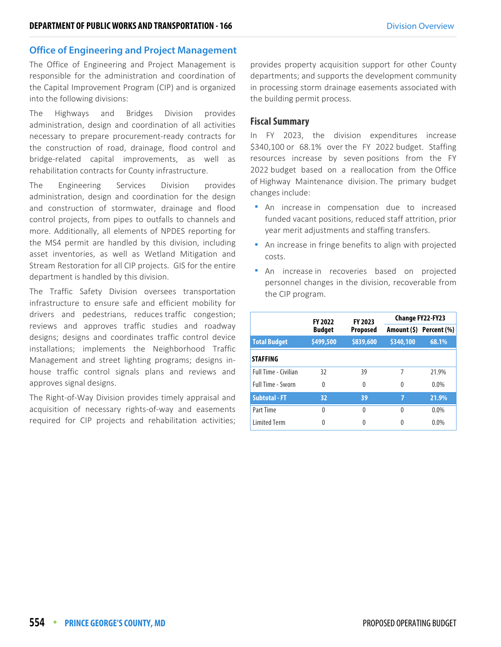## **Office of Engineering and Project Management**

The Office of Engineering and Project Management is responsible for the administration and coordination of the Capital Improvement Program (CIP) and is organized into the following divisions:

The Highways and Bridges Division provides administration, design and coordination of all activities necessary to prepare procurement-ready contracts for the construction of road, drainage, flood control and bridge-related capital improvements, as well as rehabilitation contracts for County infrastructure.

The Engineering Services Division provides administration, design and coordination for the design and construction of stormwater, drainage and flood control projects, from pipes to outfalls to channels and more. Additionally, all elements of NPDES reporting for the MS4 permit are handled by this division, including asset inventories, as well as Wetland Mitigation and Stream Restoration for all CIP projects. GIS for the entire department is handled by this division.

The Traffic Safety Division oversees transportation infrastructure to ensure safe and efficient mobility for drivers and pedestrians, reduces traffic congestion; reviews and approves traffic studies and roadway designs; designs and coordinates traffic control device installations; implements the Neighborhood Traffic Management and street lighting programs; designs inhouse traffic control signals plans and reviews and approves signal designs.

The Right-of-Way Division provides timely appraisal and acquisition of necessary rights-of-way and easements required for CIP projects and rehabilitation activities; provides property acquisition support for other County departments; and supports the development community in processing storm drainage easements associated with the building permit process.

#### **Fiscal Summary**

In FY 2023, the division expenditures increase \$340,100 or 68.1% over the FY 2022 budget. Staffing resources increase by seven positions from the FY 2022 budget based on a reallocation from the Office of Highway Maintenance division. The primary budget changes include:

- **An** increase in compensation due to increased funded vacant positions, reduced staff attrition, prior year merit adjustments and staffing transfers.
- An increase in fringe benefits to align with projected costs.
- **An** increase in recoveries based on projected personnel changes in the division, recoverable from the CIP program.

|                             | <b>FY 2022</b> | FY 2023         | <b>Change FY22-FY23</b> |                         |  |  |
|-----------------------------|----------------|-----------------|-------------------------|-------------------------|--|--|
|                             | <b>Budget</b>  | <b>Proposed</b> |                         | Amount (\$) Percent (%) |  |  |
| <b>Total Budget</b>         | \$499,500      | \$839,600       | \$340,100               | 68.1%                   |  |  |
| <b>STAFFING</b>             |                |                 |                         |                         |  |  |
| <b>Full Time - Civilian</b> | 32             | 39              | 7                       | 21.9%                   |  |  |
| <b>Full Time - Sworn</b>    | $\Omega$       | $\theta$        | 0                       | $0.0\%$                 |  |  |
| <b>Subtotal - FT</b>        | 32             | 39              | 7                       | 21.9%                   |  |  |
| Part Time                   | $\Omega$       | $\Omega$        | $\Omega$                | $0.0\%$                 |  |  |
| <b>Limited Term</b>         | 0              |                 | 0                       | 0.0%                    |  |  |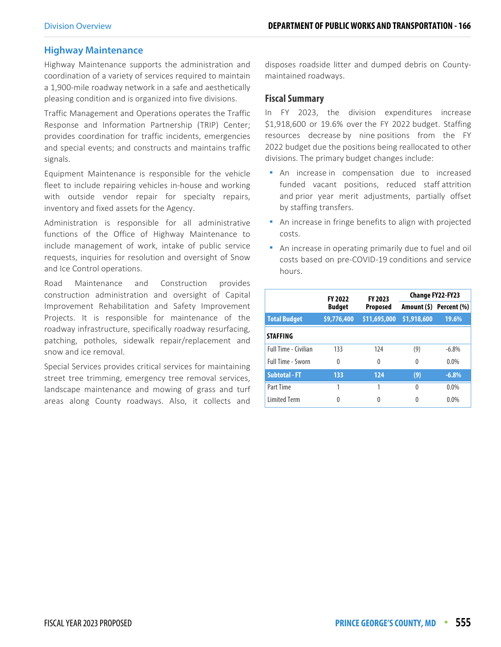## **Highway Maintenance**

Highway Maintenance supports the administration and coordination of a variety of services required to maintain a 1,900-mile roadway network in a safe and aesthetically pleasing condition and is organized into five divisions.

Traffic Management and Operations operates the Traffic Response and Information Partnership (TRIP) Center; provides coordination for traffic incidents, emergencies and special events; and constructs and maintains traffic signals.

Equipment Maintenance is responsible for the vehicle fleet to include repairing vehicles in-house and working with outside vendor repair for specialty repairs, inventory and fixed assets for the Agency.

Administration is responsible for all administrative functions of the Office of Highway Maintenance to include management of work, intake of public service requests, inquiries for resolution and oversight of Snow and Ice Control operations.

Road Maintenance and Construction provides construction administration and oversight of Capital Improvement Rehabilitation and Safety Improvement Projects. It is responsible for maintenance of the roadway infrastructure, specifically roadway resurfacing, patching, potholes, sidewalk repair/replacement and snow and ice removal.

Special Services provides critical services for maintaining street tree trimming, emergency tree removal services, landscape maintenance and mowing of grass and turf areas along County roadways. Also, it collects and

disposes roadside litter and dumped debris on Countymaintained roadways.

#### **Fiscal Summary**

In FY 2023, the division expenditures increase \$1,918,600 or 19.6% over the FY 2022 budget. Staffing resources decrease by nine positions from the FY 2022 budget due the positions being reallocated to other divisions. The primary budget changes include:

- **An** increase in compensation due to increased funded vacant positions, reduced staff attrition and prior year merit adjustments, partially offset by staffing transfers.
- **An increase in fringe benefits to align with projected** costs.
- An increase in operating primarily due to fuel and oil costs based on pre-COVID-19 conditions and service hours.

|                             | <b>FY 2022</b> | FY 2023      |             | <b>Change FY22-FY23</b> |
|-----------------------------|----------------|--------------|-------------|-------------------------|
|                             | <b>Budget</b>  | Proposed     |             | Amount (\$) Percent (%) |
| <b>Total Budget</b>         | \$9,776,400    | \$11,695,000 | \$1,918,600 | 19.6%                   |
| <b>STAFFING</b>             |                |              |             |                         |
| <b>Full Time - Civilian</b> | 133            | 124          | (9)         | $-6.8\%$                |
| <b>Full Time - Sworn</b>    | $\Omega$       | 0            | $\Omega$    | $0.0\%$                 |
| <b>Subtotal - FT</b>        | 133            | 124          | (9)         | $-6.8%$                 |
| Part Time                   | 1              |              | $\Omega$    | $0.0\%$                 |
| <b>Limited Term</b>         | 0              | 0            | $\Omega$    | $0.0\%$                 |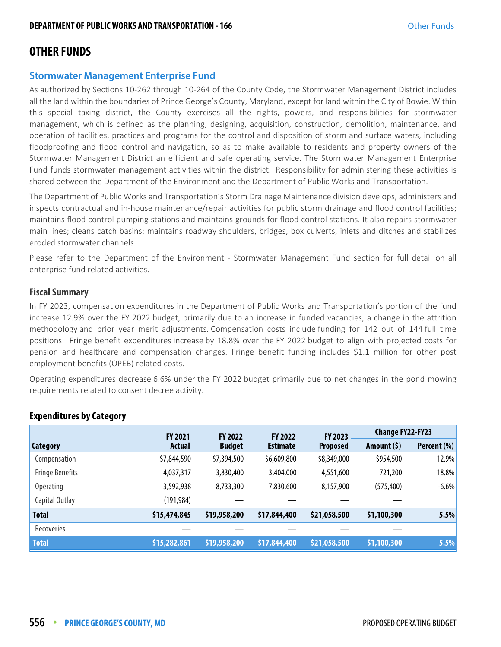# **OTHER FUNDS**

## **Stormwater Management Enterprise Fund**

As authorized by Sections 10-262 through 10-264 of the County Code, the Stormwater Management District includes all the land within the boundaries of Prince George's County, Maryland, except for land within the City of Bowie. Within this special taxing district, the County exercises all the rights, powers, and responsibilities for stormwater management, which is defined as the planning, designing, acquisition, construction, demolition, maintenance, and operation of facilities, practices and programs for the control and disposition of storm and surface waters, including floodproofing and flood control and navigation, so as to make available to residents and property owners of the Stormwater Management District an efficient and safe operating service. The Stormwater Management Enterprise Fund funds stormwater management activities within the district. Responsibility for administering these activities is shared between the Department of the Environment and the Department of Public Works and Transportation.

The Department of Public Works and Transportation's Storm Drainage Maintenance division develops, administers and inspects contractual and in-house maintenance/repair activities for public storm drainage and flood control facilities; maintains flood control pumping stations and maintains grounds for flood control stations. It also repairs stormwater main lines; cleans catch basins; maintains roadway shoulders, bridges, box culverts, inlets and ditches and stabilizes eroded stormwater channels.

Please refer to the Department of the Environment - Stormwater Management Fund section for full detail on all enterprise fund related activities.

## **Fiscal Summary**

In FY 2023, compensation expenditures in the Department of Public Works and Transportation's portion of the fund increase 12.9% over the FY 2022 budget, primarily due to an increase in funded vacancies, a change in the attrition methodology and prior year merit adjustments. Compensation costs include funding for 142 out of 144 full time positions. Fringe benefit expenditures increase by 18.8% over the FY 2022 budget to align with projected costs for pension and healthcare and compensation changes. Fringe benefit funding includes \$1.1 million for other post employment benefits (OPEB) related costs.

Operating expenditures decrease 6.6% under the FY 2022 budget primarily due to net changes in the pond mowing requirements related to consent decree activity.

|                        | <b>FY 2021</b> | <b>FY 2022</b> | <b>FY 2022</b>  | <b>FY 2023</b>  | <b>Change FY22-FY23</b> |             |
|------------------------|----------------|----------------|-----------------|-----------------|-------------------------|-------------|
| Category               | Actual         | <b>Budget</b>  | <b>Estimate</b> | <b>Proposed</b> | Amount (\$)             | Percent (%) |
| Compensation           | \$7,844,590    | \$7,394,500    | \$6,609,800     | \$8,349,000     | \$954,500               | 12.9%       |
| <b>Fringe Benefits</b> | 4,037,317      | 3,830,400      | 3,404,000       | 4,551,600       | 721,200                 | 18.8%       |
| <b>Operating</b>       | 3,592,938      | 8,733,300      | 7,830,600       | 8,157,900       | (575, 400)              | $-6.6%$     |
| Capital Outlay         | (191, 984)     |                |                 |                 |                         |             |
| <b>Total</b>           | \$15,474,845   | \$19,958,200   | \$17,844,400    | \$21,058,500    | \$1,100,300             | 5.5%        |
| Recoveries             |                |                |                 |                 |                         |             |
| <b>Total</b>           | \$15,282,861   | \$19,958,200   | \$17,844,400    | \$21,058,500    | \$1,100,300             | 5.5%        |

## **Expenditures by Category**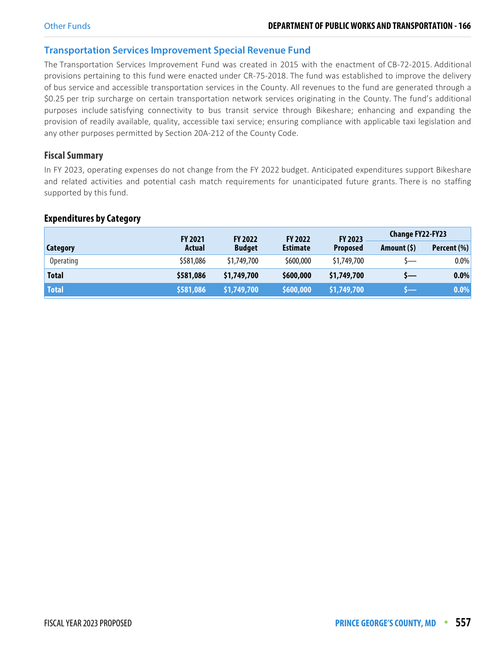#### **Transportation Services Improvement Special Revenue Fund**

The Transportation Services Improvement Fund was created in 2015 with the enactment of CB-72-2015. Additional provisions pertaining to this fund were enacted under CR-75-2018. The fund was established to improve the delivery of bus service and accessible transportation services in the County. All revenues to the fund are generated through a \$0.25 per trip surcharge on certain transportation network services originating in the County. The fund's additional purposes include satisfying connectivity to bus transit service through Bikeshare; enhancing and expanding the provision of readily available, quality, accessible taxi service; ensuring compliance with applicable taxi legislation and any other purposes permitted by Section 20A-212 of the County Code.

## **Fiscal Summary**

In FY 2023, operating expenses do not change from the FY 2022 budget. Anticipated expenditures support Bikeshare and related activities and potential cash match requirements for unanticipated future grants. There is no staffing supported by this fund.

#### **Expenditures by Category**

|                  | <b>FY 2021</b> | <b>FY 2023</b><br><b>FY 2022</b><br><b>FY 2022</b> |                 | <b>Change FY22-FY23</b> |              |             |
|------------------|----------------|----------------------------------------------------|-----------------|-------------------------|--------------|-------------|
| Category         | Actual         | <b>Budget</b>                                      | <b>Estimate</b> | <b>Proposed</b>         | Amount $(5)$ | Percent (%) |
| <b>Operating</b> | \$581,086      | \$1,749,700                                        | \$600,000       | \$1,749,700             |              | $0.0\%$     |
| <b>Total</b>     | \$581,086      | \$1,749,700                                        | \$600,000       | \$1,749,700             | $S-$         | $0.0\%$     |
| <b>Total</b>     | \$581,086      | \$1,749,700                                        | \$600,000       | \$1,749,700             |              | $0.0\%$     |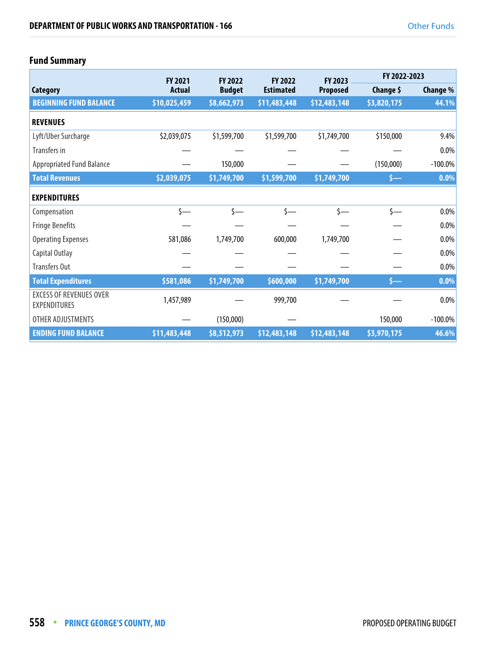# **Fund Summary**

|                                                       | <b>FY 2021</b> | <b>FY 2022</b> | <b>FY 2022</b>   | <b>FY 2023</b>  | FY 2022-2023 |            |
|-------------------------------------------------------|----------------|----------------|------------------|-----------------|--------------|------------|
| Category                                              | <b>Actual</b>  | <b>Budget</b>  | <b>Estimated</b> | <b>Proposed</b> | Change \$    | Change %   |
| <b>BEGINNING FUND BALANCE</b>                         | \$10,025,459   | \$8,662,973    | \$11,483,448     | \$12,483,148    | \$3,820,175  | 44.1%      |
| <b>REVENUES</b>                                       |                |                |                  |                 |              |            |
| Lyft/Uber Surcharge                                   | \$2,039,075    | \$1,599,700    | \$1,599,700      | \$1,749,700     | \$150,000    | 9.4%       |
| Transfers in                                          |                |                |                  |                 |              | $0.0\%$    |
| <b>Appropriated Fund Balance</b>                      |                | 150,000        |                  |                 | (150,000)    | $-100.0\%$ |
| <b>Total Revenues</b>                                 | \$2,039,075    | \$1,749,700    | \$1,599,700      | \$1,749,700     | \$—          | 0.0%       |
| <b>EXPENDITURES</b>                                   |                |                |                  |                 |              |            |
| Compensation                                          | \$—            | $\zeta$ —      | $\zeta$ —        | \$—             | $\zeta$ —    | $0.0\%$    |
| <b>Fringe Benefits</b>                                |                |                |                  |                 |              | $0.0\%$    |
| <b>Operating Expenses</b>                             | 581,086        | 1,749,700      | 600,000          | 1,749,700       |              | $0.0\%$    |
| Capital Outlay                                        |                |                |                  |                 |              | 0.0%       |
| <b>Transfers Out</b>                                  |                |                |                  |                 |              | $0.0\%$    |
| <b>Total Expenditures</b>                             | \$581,086      | \$1,749,700    | \$600,000        | \$1,749,700     | $S-$         | 0.0%       |
| <b>EXCESS OF REVENUES OVER</b><br><b>EXPENDITURES</b> | 1,457,989      |                | 999,700          |                 |              | $0.0\%$    |
| OTHER ADJUSTMENTS                                     |                | (150,000)      |                  |                 | 150,000      | $-100.0\%$ |
| <b>ENDING FUND BALANCE</b>                            | \$11,483,448   | \$8,512,973    | \$12,483,148     | \$12,483,148    | \$3,970,175  | 46.6%      |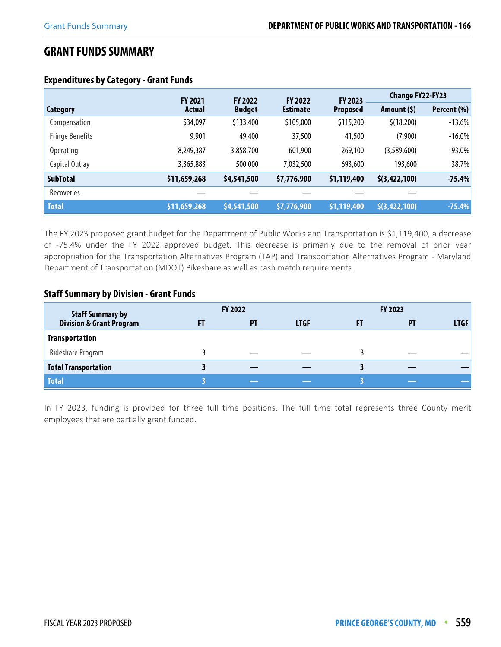# **GRANT FUNDS SUMMARY**

|                        | <b>FY 2021</b> | <b>FY 2022</b> | <b>FY 2022</b>  | <b>FY 2023</b>  | <b>Change FY22-FY23</b> |             |
|------------------------|----------------|----------------|-----------------|-----------------|-------------------------|-------------|
| Category               | Actual         | <b>Budget</b>  | <b>Estimate</b> | <b>Proposed</b> | Amount (\$)             | Percent (%) |
| Compensation           | \$34,097       | \$133,400      | \$105,000       | \$115,200       | \$(18,200)              | $-13.6%$    |
| <b>Fringe Benefits</b> | 9,901          | 49,400         | 37,500          | 41,500          | (7,900)                 | $-16.0%$    |
| <b>Operating</b>       | 8,249,387      | 3,858,700      | 601,900         | 269,100         | (3,589,600)             | $-93.0%$    |
| Capital Outlay         | 3,365,883      | 500,000        | 7,032,500       | 693,600         | 193,600                 | 38.7%       |
| <b>SubTotal</b>        | \$11,659,268   | \$4,541,500    | \$7,776,900     | \$1,119,400     | \$(3, 422, 100)         | $-75.4%$    |
| Recoveries             |                |                |                 |                 |                         |             |
| <b>Total</b>           | \$11,659,268   | \$4,541,500    | \$7,776,900     | \$1,119,400     | \$(3,422,100)           | $-75.4%$    |

# **Expenditures by Category - Grant Funds**

The FY 2023 proposed grant budget for the Department of Public Works and Transportation is \$1,119,400, a decrease of -75.4% under the FY 2022 approved budget. This decrease is primarily due to the removal of prior year appropriation for the Transportation Alternatives Program (TAP) and Transportation Alternatives Program - Maryland Department of Transportation (MDOT) Bikeshare as well as cash match requirements.

## **Staff Summary by Division - Grant Funds**

| <b>Staff Summary by</b>             |    | <b>FY 2022</b> |             |    | FY 2023   |             |
|-------------------------------------|----|----------------|-------------|----|-----------|-------------|
| <b>Division &amp; Grant Program</b> | FT | PT             | <b>LTGF</b> | FT | <b>PT</b> | <b>LTGF</b> |
| <b>Transportation</b>               |    |                |             |    |           |             |
| Rideshare Program                   |    |                |             |    |           |             |
| <b>Total Transportation</b>         |    |                |             |    |           |             |
| <b>Total</b>                        |    |                |             |    |           |             |

In FY 2023, funding is provided for three full time positions. The full time total represents three County merit employees that are partially grant funded.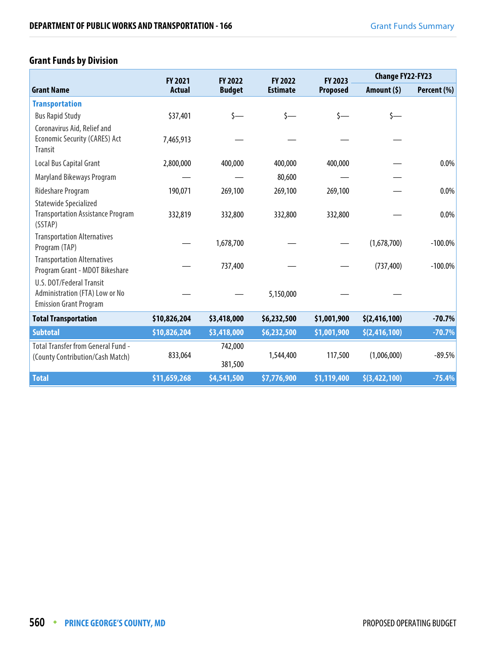# **Grant Funds by Division**

|                                                                                             | <b>FY 2021</b> | FY 2022       | <b>FY 2022</b>  | FY 2023         |                 | <b>Change FY22-FY23</b> |  |
|---------------------------------------------------------------------------------------------|----------------|---------------|-----------------|-----------------|-----------------|-------------------------|--|
| <b>Grant Name</b>                                                                           | <b>Actual</b>  | <b>Budget</b> | <b>Estimate</b> | <b>Proposed</b> | Amount $(5)$    | Percent (%)             |  |
| <b>Transportation</b>                                                                       |                |               |                 |                 |                 |                         |  |
| <b>Bus Rapid Study</b>                                                                      | \$37,401       | \$—           | $\zeta$ —       | s—              | $\zeta$ —       |                         |  |
| Coronavirus Aid, Relief and<br><b>Economic Security (CARES) Act</b><br><b>Transit</b>       | 7,465,913      |               |                 |                 |                 |                         |  |
| Local Bus Capital Grant                                                                     | 2,800,000      | 400,000       | 400,000         | 400,000         |                 | 0.0%                    |  |
| Maryland Bikeways Program                                                                   |                |               | 80,600          |                 |                 |                         |  |
| Rideshare Program                                                                           | 190,071        | 269,100       | 269,100         | 269,100         |                 | 0.0%                    |  |
| <b>Statewide Specialized</b>                                                                |                |               |                 |                 |                 |                         |  |
| <b>Transportation Assistance Program</b><br>(SSTAP)                                         | 332,819        | 332,800       | 332,800         | 332,800         |                 | 0.0%                    |  |
| <b>Transportation Alternatives</b><br>Program (TAP)                                         |                | 1,678,700     |                 |                 | (1,678,700)     | $-100.0\%$              |  |
| <b>Transportation Alternatives</b><br>Program Grant - MDOT Bikeshare                        |                | 737,400       |                 |                 | (737, 400)      | $-100.0\%$              |  |
| U.S. DOT/Federal Transit<br>Administration (FTA) Low or No<br><b>Emission Grant Program</b> |                |               | 5,150,000       |                 |                 |                         |  |
| <b>Total Transportation</b>                                                                 | \$10,826,204   | \$3,418,000   | \$6,232,500     | \$1,001,900     | \$(2, 416, 100) | $-70.7%$                |  |
| <b>Subtotal</b>                                                                             | \$10,826,204   | \$3,418,000   | \$6,232,500     | \$1,001,900     | \$(2, 416, 100) | $-70.7%$                |  |
| <b>Total Transfer from General Fund -</b>                                                   |                | 742,000       |                 |                 |                 |                         |  |
| (County Contribution/Cash Match)                                                            | 833,064        | 381,500       | 1,544,400       | 117,500         | (1,006,000)     | $-89.5%$                |  |
| <b>Total</b>                                                                                | \$11,659,268   | \$4,541,500   | \$7,776,900     | \$1,119,400     | \$(3, 422, 100) | $-75.4%$                |  |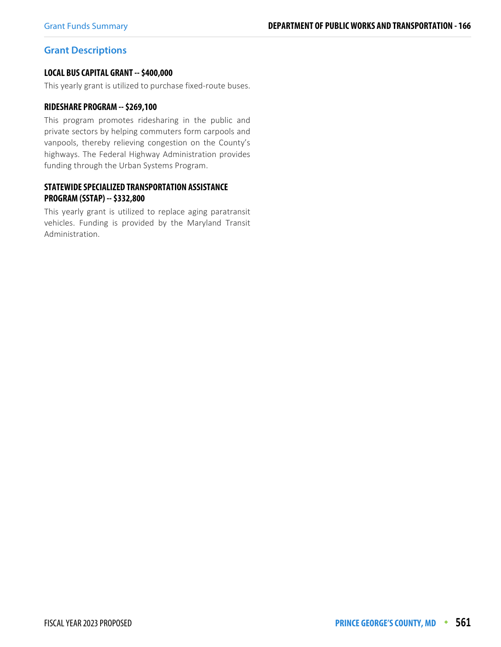## **Grant Descriptions**

#### **LOCAL BUS CAPITAL GRANT -- \$400,000**

This yearly grant is utilized to purchase fixed-route buses.

#### **RIDESHARE PROGRAM -- \$269,100**

This program promotes ridesharing in the public and private sectors by helping commuters form carpools and vanpools, thereby relieving congestion on the County's highways. The Federal Highway Administration provides funding through the Urban Systems Program.

#### **STATEWIDE SPECIALIZED TRANSPORTATION ASSISTANCE PROGRAM (SSTAP) -- \$332,800**

This yearly grant is utilized to replace aging paratransit vehicles. Funding is provided by the Maryland Transit Administration.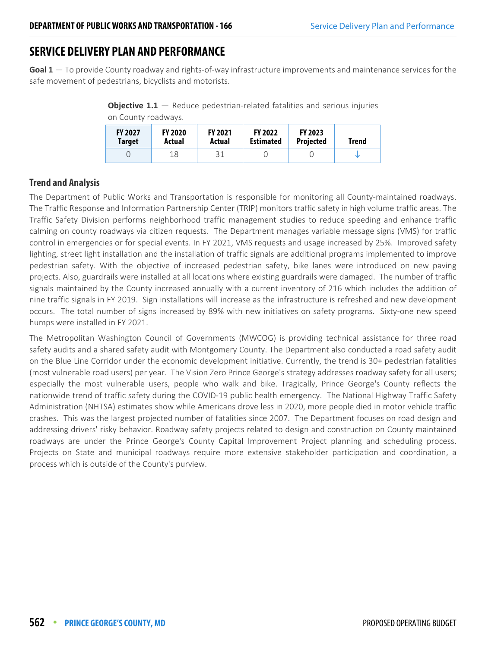# **SERVICE DELIVERY PLAN AND PERFORMANCE**

**Goal 1** — To provide County roadway and rights-of-way infrastructure improvements and maintenance services for the safe movement of pedestrians, bicyclists and motorists.

**Objective 1.1** – Reduce pedestrian-related fatalities and serious injuries on County roadways.

| <b>FY 2027</b><br><b>Target</b> | <b>FY 2020</b><br>Actual | <b>FY 2021</b><br>Actual | <b>FY 2022</b><br><b>Estimated</b> | <b>FY 2023</b><br><b>Projected</b> | Trend |
|---------------------------------|--------------------------|--------------------------|------------------------------------|------------------------------------|-------|
|                                 | 18                       |                          |                                    |                                    |       |

# **Trend and Analysis**

The Department of Public Works and Transportation is responsible for monitoring all County-maintained roadways. The Traffic Response and Information Partnership Center (TRIP) monitors traffic safety in high volume traffic areas. The Traffic Safety Division performs neighborhood traffic management studies to reduce speeding and enhance traffic calming on county roadways via citizen requests. The Department manages variable message signs (VMS) for traffic control in emergencies or for special events. In FY 2021, VMS requests and usage increased by 25%. Improved safety lighting, street light installation and the installation of traffic signals are additional programs implemented to improve pedestrian safety. With the objective of increased pedestrian safety, bike lanes were introduced on new paving projects. Also, guardrails were installed at all locations where existing guardrails were damaged. The number of traffic signals maintained by the County increased annually with a current inventory of 216 which includes the addition of nine traffic signals in FY 2019. Sign installations will increase as the infrastructure is refreshed and new development occurs. The total number of signs increased by 89% with new initiatives on safety programs. Sixty-one new speed humps were installed in FY 2021.

The Metropolitan Washington Council of Governments (MWCOG) is providing technical assistance for three road safety audits and a shared safety audit with Montgomery County. The Department also conducted a road safety audit on the Blue Line Corridor under the economic development initiative. Currently, the trend is 30+ pedestrian fatalities (most vulnerable road users) per year. The Vision Zero Prince George's strategy addresses roadway safety for all users; especially the most vulnerable users, people who walk and bike. Tragically, Prince George's County reflects the nationwide trend of traffic safety during the COVID-19 public health emergency. The National Highway Traffic Safety Administration (NHTSA) estimates show while Americans drove less in 2020, more people died in motor vehicle traffic crashes. This was the largest projected number of fatalities since 2007. The Department focuses on road design and addressing drivers' risky behavior. Roadway safety projects related to design and construction on County maintained roadways are under the Prince George's County Capital Improvement Project planning and scheduling process. Projects on State and municipal roadways require more extensive stakeholder participation and coordination, a process which is outside of the County's purview.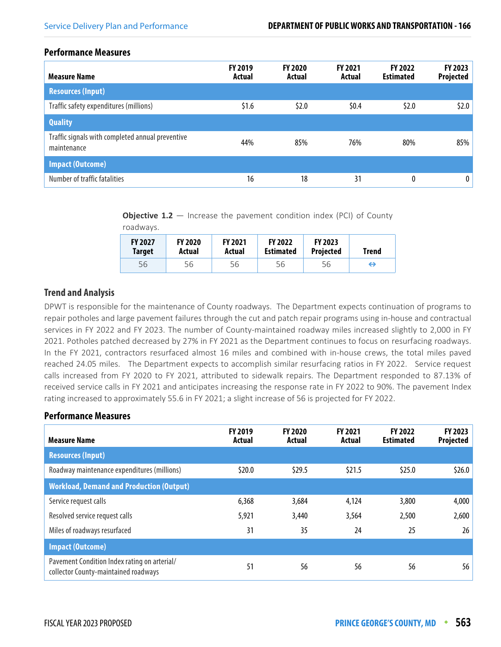roadways.

#### **Performance Measures**

| <b>Measure Name</b>                                             | <b>FY 2019</b><br>Actual | <b>FY 2020</b><br>Actual | <b>FY 2021</b><br>Actual | <b>FY 2022</b><br><b>Estimated</b> | FY 2023<br><b>Projected</b> |
|-----------------------------------------------------------------|--------------------------|--------------------------|--------------------------|------------------------------------|-----------------------------|
| <b>Resources (Input)</b>                                        |                          |                          |                          |                                    |                             |
| Traffic safety expenditures (millions)                          | \$1.6                    | \$2.0                    | \$0.4                    | \$2.0                              | \$2.0\$                     |
| <b>Quality</b>                                                  |                          |                          |                          |                                    |                             |
| Traffic signals with completed annual preventive<br>maintenance | 44%                      | 85%                      | 76%                      | 80%                                | 85%                         |
| <b>Impact (Outcome)</b>                                         |                          |                          |                          |                                    |                             |
| Number of traffic fatalities                                    | 16                       | 18                       | 31                       | 0                                  | $\mathbf{0}$                |

**Objective 1.2** – Increase the pavement condition index (PCI) of County

| TURUWAYS.                       |                          |                          |                                    |                             |              |
|---------------------------------|--------------------------|--------------------------|------------------------------------|-----------------------------|--------------|
| <b>FY 2027</b><br><b>Target</b> | <b>FY 2020</b><br>Actual | <b>FY 2021</b><br>Actual | <b>FY 2022</b><br><b>Estimated</b> | <b>FY 2023</b><br>Projected | <b>Trend</b> |
| 56                              | 56                       | 56                       | 56                                 | 56                          | ⇔            |

# **Trend and Analysis**

DPWT is responsible for the maintenance of County roadways. The Department expects continuation of programs to repair potholes and large pavement failures through the cut and patch repair programs using in-house and contractual services in FY 2022 and FY 2023. The number of County-maintained roadway miles increased slightly to 2,000 in FY 2021. Potholes patched decreased by 27% in FY 2021 as the Department continues to focus on resurfacing roadways. In the FY 2021, contractors resurfaced almost 16 miles and combined with in-house crews, the total miles paved reached 24.05 miles. The Department expects to accomplish similar resurfacing ratios in FY 2022. Service request calls increased from FY 2020 to FY 2021, attributed to sidewalk repairs. The Department responded to 87.13% of received service calls in FY 2021 and anticipates increasing the response rate in FY 2022 to 90%. The pavement Index rating increased to approximately 55.6 in FY 2021; a slight increase of 56 is projected for FY 2022.

| <b>Measure Name</b>                                                                  | <b>FY 2019</b><br>Actual | <b>FY 2020</b><br>Actual | <b>FY 2021</b><br>Actual | <b>FY 2022</b><br><b>Estimated</b> | FY 2023<br>Projected |
|--------------------------------------------------------------------------------------|--------------------------|--------------------------|--------------------------|------------------------------------|----------------------|
| <b>Resources (Input)</b>                                                             |                          |                          |                          |                                    |                      |
| Roadway maintenance expenditures (millions)                                          | \$20.0                   | \$29.5                   | \$21.5                   | \$25.0                             | \$26.0               |
| <b>Workload, Demand and Production (Output)</b>                                      |                          |                          |                          |                                    |                      |
| Service request calls                                                                | 6,368                    | 3,684                    | 4,124                    | 3,800                              | 4,000                |
| Resolved service request calls                                                       | 5,921                    | 3,440                    | 3,564                    | 2,500                              | 2,600                |
| Miles of roadways resurfaced                                                         | 31                       | 35                       | 24                       | 25                                 | 26                   |
| <b>Impact (Outcome)</b>                                                              |                          |                          |                          |                                    |                      |
| Pavement Condition Index rating on arterial/<br>collector County-maintained roadways | 51                       | 56                       | 56                       | 56                                 | 56                   |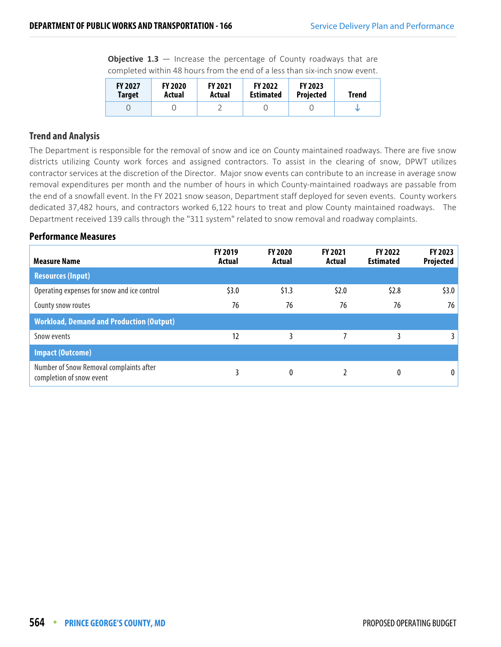**Objective 1.3** – Increase the percentage of County roadways that are completed within 48 hours from the end of a less than six-inch snow event.

| <b>FY 2027</b> | <b>FY 2020</b> | <b>FY 2021</b> | <b>FY 2022</b>   | <b>FY 2023</b>   | Trend |
|----------------|----------------|----------------|------------------|------------------|-------|
| Target         | Actual         | Actual         | <b>Estimated</b> | <b>Projected</b> |       |
|                |                |                |                  |                  |       |

## **Trend and Analysis**

The Department is responsible for the removal of snow and ice on County maintained roadways. There are five snow districts utilizing County work forces and assigned contractors. To assist in the clearing of snow, DPWT utilizes contractor services at the discretion of the Director. Major snow events can contribute to an increase in average snow removal expenditures per month and the number of hours in which County-maintained roadways are passable from the end of a snowfall event. In the FY 2021 snow season, Department staff deployed for seven events. County workers dedicated 37,482 hours, and contractors worked 6,122 hours to treat and plow County maintained roadways. The Department received 139 calls through the "311 system" related to snow removal and roadway complaints.

| <b>Measure Name</b>                                                 | <b>FY 2019</b><br>Actual | <b>FY 2020</b><br>Actual | FY 2021<br>Actual | <b>FY 2022</b><br><b>Estimated</b> | FY 2023<br>Projected |
|---------------------------------------------------------------------|--------------------------|--------------------------|-------------------|------------------------------------|----------------------|
| <b>Resources (Input)</b>                                            |                          |                          |                   |                                    |                      |
| Operating expenses for snow and ice control                         | \$3.0                    | \$1.3                    | \$2.0             | \$2.8\$                            | \$3.0                |
| County snow routes                                                  | 76                       | 76                       | 76                | 76                                 | 76                   |
| <b>Workload, Demand and Production (Output)</b>                     |                          |                          |                   |                                    |                      |
| Snow events                                                         | 12                       | 3                        |                   |                                    | 31                   |
| <b>Impact (Outcome)</b>                                             |                          |                          |                   |                                    |                      |
| Number of Snow Removal complaints after<br>completion of snow event |                          | 0                        |                   | 0                                  |                      |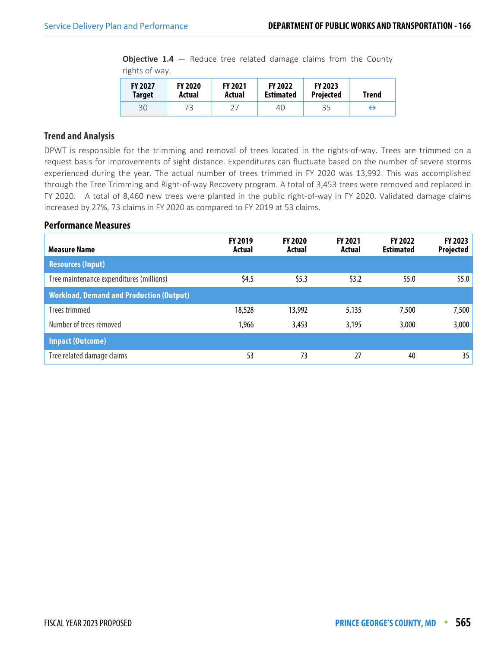**Objective 1.4** – Reduce tree related damage claims from the County rights of way.

| <b>FY 2027</b> | <b>FY 2020</b> | <b>FY 2021</b> | <b>FY 2022</b>   | <b>FY 2023</b>   | <b>Trend</b>      |
|----------------|----------------|----------------|------------------|------------------|-------------------|
| <b>Target</b>  | Actual         | Actual         | <b>Estimated</b> | <b>Projected</b> |                   |
| 30             | 73             |                | 40               | 35               | $\leftrightarrow$ |

## **Trend and Analysis**

DPWT is responsible for the trimming and removal of trees located in the rights-of-way. Trees are trimmed on a request basis for improvements of sight distance. Expenditures can fluctuate based on the number of severe storms experienced during the year. The actual number of trees trimmed in FY 2020 was 13,992. This was accomplished through the Tree Trimming and Right-of-way Recovery program. A total of 3,453 trees were removed and replaced in FY 2020. A total of 8,460 new trees were planted in the public right-of-way in FY 2020. Validated damage claims increased by 27%, 73 claims in FY 2020 as compared to FY 2019 at 53 claims.

| <b>Measure Name</b>                             | <b>FY 2019</b><br>Actual | <b>FY 2020</b><br>Actual | <b>FY 2021</b><br>Actual | <b>FY 2022</b><br><b>Estimated</b> | FY 2023<br>Projected |
|-------------------------------------------------|--------------------------|--------------------------|--------------------------|------------------------------------|----------------------|
| <b>Resources (Input)</b>                        |                          |                          |                          |                                    |                      |
| Tree maintenance expenditures (millions)        | \$4.5                    | \$5.3                    | \$3.2                    | \$5.0                              | \$5.0\$              |
| <b>Workload, Demand and Production (Output)</b> |                          |                          |                          |                                    |                      |
| Trees trimmed                                   | 18,528                   | 13,992                   | 5,135                    | 7,500                              | 7,500                |
| Number of trees removed                         | 1,966                    | 3,453                    | 3,195                    | 3,000                              | 3,000                |
| <b>Impact (Outcome)</b>                         |                          |                          |                          |                                    |                      |
| Tree related damage claims                      | 53                       | 73                       | 27                       | 40                                 | 35                   |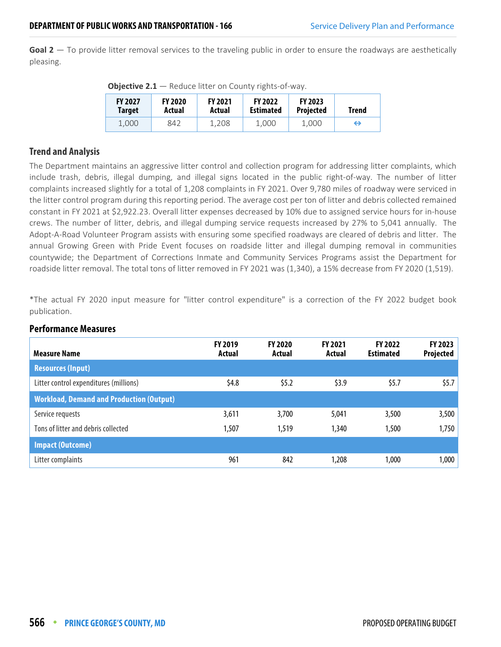**Goal 2** — To provide litter removal services to the traveling public in order to ensure the roadways are aesthetically pleasing.

| <b>Objective 2.1</b> $-$ Reduce litter on County rights-of-way. |  |  |  |
|-----------------------------------------------------------------|--|--|--|
|-----------------------------------------------------------------|--|--|--|

| <b>FY 2027</b><br><b>Target</b> | <b>FY 2020</b><br>Actual | <b>FY 2021</b><br>Actual | <b>FY 2022</b><br><b>Estimated</b> | <b>FY 2023</b><br><b>Projected</b> | Trend |
|---------------------------------|--------------------------|--------------------------|------------------------------------|------------------------------------|-------|
| 1.000                           | 842                      | 1.208                    | 1.000                              | 1.000                              | ↔     |

## **Trend and Analysis**

The Department maintains an aggressive litter control and collection program for addressing litter complaints, which include trash, debris, illegal dumping, and illegal signs located in the public right-of-way. The number of litter complaints increased slightly for a total of 1,208 complaints in FY 2021. Over 9,780 miles of roadway were serviced in the litter control program during this reporting period. The average cost per ton of litter and debris collected remained constant in FY 2021 at \$2,922.23. Overall litter expenses decreased by 10% due to assigned service hours for in-house crews. The number of litter, debris, and illegal dumping service requests increased by 27% to 5,041 annually. The Adopt-A-Road Volunteer Program assists with ensuring some specified roadways are cleared of debris and litter. The annual Growing Green with Pride Event focuses on roadside litter and illegal dumping removal in communities countywide; the Department of Corrections Inmate and Community Services Programs assist the Department for roadside litter removal. The total tons of litter removed in FY 2021 was (1,340), a 15% decrease from FY 2020 (1,519).

\*The actual FY 2020 input measure for "litter control expenditure" is a correction of the FY 2022 budget book publication.

| <b>Measure Name</b>                             | <b>FY 2019</b><br>Actual | <b>FY 2020</b><br>Actual | FY 2021<br>Actual | <b>FY 2022</b><br><b>Estimated</b> | FY 2023<br>Projected |
|-------------------------------------------------|--------------------------|--------------------------|-------------------|------------------------------------|----------------------|
| <b>Resources (Input)</b>                        |                          |                          |                   |                                    |                      |
| Litter control expenditures (millions)          | \$4.8\$                  | \$5.2                    | \$3.9             | \$5.7                              | \$5.7                |
| <b>Workload, Demand and Production (Output)</b> |                          |                          |                   |                                    |                      |
| Service requests                                | 3,611                    | 3,700                    | 5,041             | 3,500                              | 3,500                |
| Tons of litter and debris collected             | 1,507                    | 1,519                    | 1,340             | 1,500                              | 1,750                |
| <b>Impact (Outcome)</b>                         |                          |                          |                   |                                    |                      |
| Litter complaints                               | 961                      | 842                      | 1,208             | 1,000                              | 1,000                |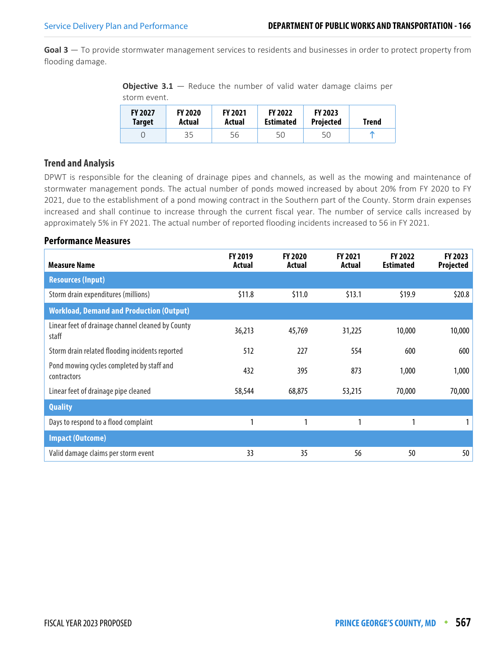**Goal 3** — To provide stormwater management services to residents and businesses in order to protect property from flooding damage.

**Objective 3.1** – Reduce the number of valid water damage claims per storm event.

| <b>FY 2027</b> | <b>FY 2020</b> | <b>FY 2021</b> | <b>FY 2022</b>   | <b>FY 2023</b>   | <b>Trend</b> |
|----------------|----------------|----------------|------------------|------------------|--------------|
| <b>Target</b>  | Actual         | Actual         | <b>Estimated</b> | <b>Projected</b> |              |
|                | 35             | 56             | 50               | 50               |              |

## **Trend and Analysis**

DPWT is responsible for the cleaning of drainage pipes and channels, as well as the mowing and maintenance of stormwater management ponds. The actual number of ponds mowed increased by about 20% from FY 2020 to FY 2021, due to the establishment of a pond mowing contract in the Southern part of the County. Storm drain expenses increased and shall continue to increase through the current fiscal year. The number of service calls increased by approximately 5% in FY 2021. The actual number of reported flooding incidents increased to 56 in FY 2021.

| <b>Measure Name</b>                                        | <b>FY 2019</b><br>Actual | FY 2020<br>Actual | <b>FY 2021</b><br>Actual | FY 2022<br><b>Estimated</b> | FY 2023<br>Projected |
|------------------------------------------------------------|--------------------------|-------------------|--------------------------|-----------------------------|----------------------|
| <b>Resources (Input)</b>                                   |                          |                   |                          |                             |                      |
| Storm drain expenditures (millions)                        | \$11.8                   | \$11.0            | \$13.1                   | \$19.9                      | \$20.8\$             |
| <b>Workload, Demand and Production (Output)</b>            |                          |                   |                          |                             |                      |
| Linear feet of drainage channel cleaned by County<br>staff | 36,213                   | 45,769            | 31,225                   | 10,000                      | 10,000               |
| Storm drain related flooding incidents reported            | 512                      | 227               | 554                      | 600                         | 600                  |
| Pond mowing cycles completed by staff and<br>contractors   | 432                      | 395               | 873                      | 1,000                       | 1,000                |
| Linear feet of drainage pipe cleaned                       | 58,544                   | 68,875            | 53,215                   | 70,000                      | 70,000               |
| <b>Quality</b>                                             |                          |                   |                          |                             |                      |
| Days to respond to a flood complaint                       |                          | 1                 |                          |                             |                      |
| <b>Impact (Outcome)</b>                                    |                          |                   |                          |                             |                      |
| Valid damage claims per storm event                        | 33                       | 35                | 56                       | 50                          | 50                   |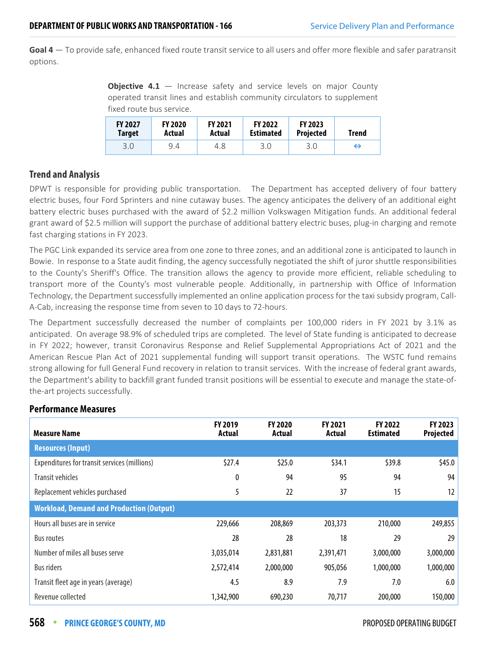**Goal 4** — To provide safe, enhanced fixed route transit service to all users and offer more flexible and safer paratransit options.

**Objective 4.1** – Increase safety and service levels on major County operated transit lines and establish community circulators to supplement fixed route bus service.

| <b>FY 2027</b> | <b>FY 2020</b> | <b>FY 2021</b> | <b>FY 2022</b>   | <b>FY 2023</b>   | <b>Trend</b> |
|----------------|----------------|----------------|------------------|------------------|--------------|
| Target         | Actual         | Actual         | <b>Estimated</b> | <b>Projected</b> |              |
| 3.0            | 9.4            | 4.8            | 3.0              | 3.0              | ⊖            |

## **Trend and Analysis**

DPWT is responsible for providing public transportation. The Department has accepted delivery of four battery electric buses, four Ford Sprinters and nine cutaway buses. The agency anticipates the delivery of an additional eight battery electric buses purchased with the award of \$2.2 million Volkswagen Mitigation funds. An additional federal grant award of \$2.5 million will support the purchase of additional battery electric buses, plug-in charging and remote fast charging stations in FY 2023.

The PGC Link expanded its service area from one zone to three zones, and an additional zone is anticipated to launch in Bowie. In response to a State audit finding, the agency successfully negotiated the shift of juror shuttle responsibilities to the County's Sheriff's Office. The transition allows the agency to provide more efficient, reliable scheduling to transport more of the County's most vulnerable people. Additionally, in partnership with Office of Information Technology, the Department successfully implemented an online application process for the taxi subsidy program, Call-A-Cab, increasing the response time from seven to 10 days to 72-hours.

The Department successfully decreased the number of complaints per 100,000 riders in FY 2021 by 3.1% as anticipated. On average 98.9% of scheduled trips are completed. The level of State funding is anticipated to decrease in FY 2022; however, transit Coronavirus Response and Relief Supplemental Appropriations Act of 2021 and the American Rescue Plan Act of 2021 supplemental funding will support transit operations. The WSTC fund remains strong allowing for full General Fund recovery in relation to transit services. With the increase of federal grant awards, the Department's ability to backfill grant funded transit positions will be essential to execute and manage the state-ofthe-art projects successfully.

#### **Measure Name FY 2019 Actual FY 2020 Actual FY 2021 Actual FY 2022 Estimated FY 2023 Projected Resources (Input)** Expenditures for transit services (millions)  $$27.4$   $$25.0$   $$34.1$   $$39.8$   $$45.0$ Transit vehicles 0 94 95 94 94 Replacement vehicles purchased 12 12 37 15 12 **Workload, Demand and Production (Output)** Hours all buses are in service 229,666 208,869 203,373 210,000 249,855 Bus routes 28 28 18 29 29 Number of miles all buses serve <br>3,035,014 2,831,881 2,391,471 3,000,000 3,000,000 Bus riders 2,572,414 2,000,000 905,056 1,000,000 1,000,000 Transit fleet age in years (average) Transit fleet age in years (average) the set of the set of the set of the set of the set of the set of the set of the set of the set of the set of the set of the set of the set of the s Revenue collected 1,342,900 690,230 70,717 200,000 150,000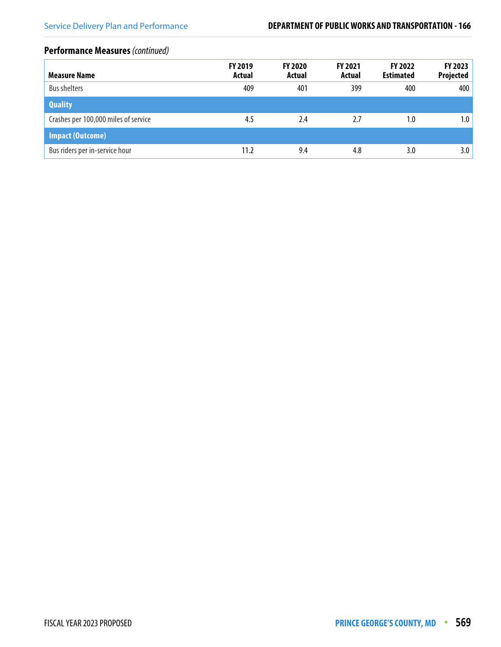# **Performance Measures** (continued)

| <b>Measure Name</b>                  | FY 2019<br>Actual | <b>FY 2020</b><br>Actual | <b>FY 2021</b><br>Actual | <b>FY 2022</b><br><b>Estimated</b> | FY 2023<br>Projected |
|--------------------------------------|-------------------|--------------------------|--------------------------|------------------------------------|----------------------|
| <b>Bus shelters</b>                  | 409               | 401                      | 399                      | 400                                | 400                  |
| <b>Quality</b>                       |                   |                          |                          |                                    |                      |
| Crashes per 100,000 miles of service | 4.5               | 2.4                      | 2.7                      | 1.0                                | 1.0                  |
| <b>Impact (Outcome)</b>              |                   |                          |                          |                                    |                      |
| Bus riders per in-service hour       | 11.2              | 9.4                      | 4.8                      | 3.0                                | 3.0                  |